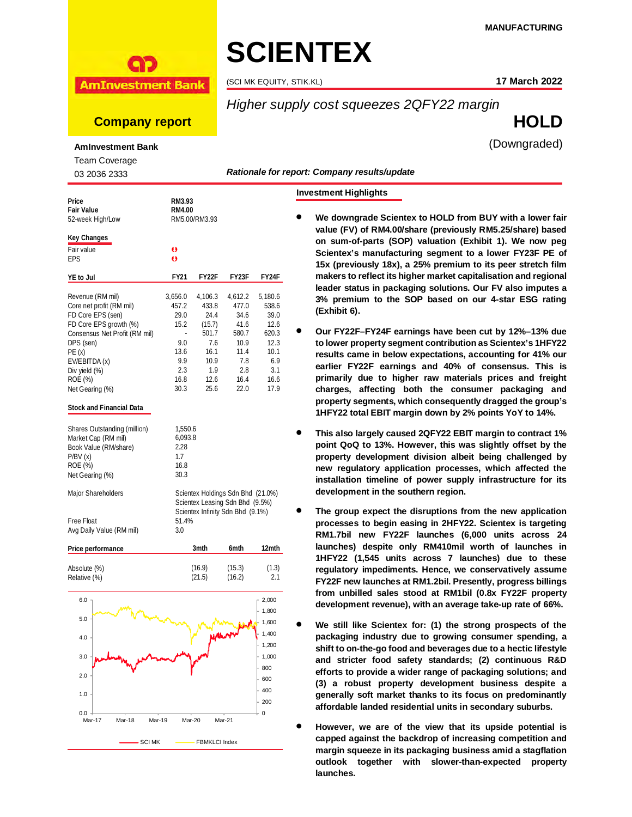#### **MANUFACTURING**



# **SCIENTEX**

(SCI MK EQUITY, STIK.KL) **17 March 2022**

# *Higher supply cost squeezes 2QFY22 margin*

**Company report HOLD**

(Downgraded)

**AmInvestment Bank**

Team Coverage

03 2036 2333

| Price<br><b>Fair Value</b><br>52-week High/Low | <b>RM3.93</b><br><b>RM4.00</b><br>RM5.00/RM3.93 |         |                                                                                                          |         |  |
|------------------------------------------------|-------------------------------------------------|---------|----------------------------------------------------------------------------------------------------------|---------|--|
| <b>Key Changes</b>                             |                                                 |         |                                                                                                          |         |  |
| Fair value                                     | $\bullet$                                       |         |                                                                                                          |         |  |
| <b>EPS</b>                                     | Ō                                               |         |                                                                                                          |         |  |
| <b>YE to Jul</b>                               | <b>FY21</b>                                     | FY22F   | FY23F                                                                                                    | FY24F   |  |
| Revenue (RM mil)                               | 3.656.0                                         | 4.106.3 | 4.612.2                                                                                                  | 5.180.6 |  |
| Core net profit (RM mil)                       | 457.2                                           | 433.8   | 477.0                                                                                                    | 538.6   |  |
| FD Core EPS (sen)                              | 29.0                                            | 24.4    | 34.6                                                                                                     | 39.0    |  |
| FD Core EPS growth (%)                         | 15.2                                            | (15.7)  | 41.6                                                                                                     | 12.6    |  |
| Consensus Net Profit (RM mil)                  | ÷.                                              | 501.7   | 580.7                                                                                                    | 620.3   |  |
| DPS (sen)                                      | 9.0                                             | 7.6     | 10.9                                                                                                     | 12.3    |  |
| PE(x)                                          | 13.6                                            | 16.1    | 11.4                                                                                                     | 10.1    |  |
| EV/EBITDA (x)                                  | 9.9                                             | 10.9    | 7.8                                                                                                      | 6.9     |  |
| Div yield (%)                                  | 2.3                                             | 1.9     | 2.8                                                                                                      | 3.1     |  |
| ROE (%)                                        | 16.8                                            | 12.6    | 16.4                                                                                                     | 16.6    |  |
| Net Gearing (%)                                | 30.3                                            | 25.6    | 22.0                                                                                                     | 17.9    |  |
| <b>Stock and Financial Data</b>                |                                                 |         |                                                                                                          |         |  |
| Shares Outstanding (million)                   | 1,550.6                                         |         |                                                                                                          |         |  |
| Market Cap (RM mil)                            | 6,093.8                                         |         |                                                                                                          |         |  |
| Book Value (RM/share)                          | 2.28                                            |         |                                                                                                          |         |  |
| P/BV(x)                                        | 1.7                                             |         |                                                                                                          |         |  |
| ROE (%)                                        | 16.8                                            |         |                                                                                                          |         |  |
| Net Gearing (%)                                | 30.3                                            |         |                                                                                                          |         |  |
| Major Shareholders                             |                                                 |         | Scientex Holdings Sdn Bhd (21.0%)<br>Scientex Leasing Sdn Bhd (9.5%)<br>Scientex Infinity Sdn Bhd (9.1%) |         |  |
| <b>Free Float</b>                              | 51.4%                                           |         |                                                                                                          |         |  |
| Avg Daily Value (RM mil)                       | 3.0                                             |         |                                                                                                          |         |  |
| <b>Price performance</b>                       |                                                 | 3mth    | 6mth                                                                                                     | 12mth   |  |
| Absolute (%)                                   |                                                 | (16.9)  | (15.3)                                                                                                   | (1.3)   |  |
| Relative (%)                                   |                                                 | (21.5)  | (16.2)                                                                                                   | 2.1     |  |
| 6.0                                            |                                                 |         |                                                                                                          | 2,000   |  |
|                                                |                                                 |         |                                                                                                          |         |  |



#### *Rationale for report: Company results/update*

#### **Investment Highlights**

- **We downgrade Scientex to HOLD from BUY with a lower fair value (FV) of RM4.00/share (previously RM5.25/share) based on sum-of-parts (SOP) valuation (Exhibit 1). We now peg Scientex's manufacturing segment to a lower FY23F PE of 15x (previously 18x), a 25% premium to its peer stretch film makers to reflect its higher market capitalisation and regional leader status in packaging solutions. Our FV also imputes a 3% premium to the SOP based on our 4-star ESG rating (Exhibit 6).**
- **Our FY22F–FY24F earnings have been cut by 12%–13% due to lower property segment contribution as Scientex's 1HFY22 results came in below expectations, accounting for 41% our earlier FY22F earnings and 40% of consensus. This is primarily due to higher raw materials prices and freight charges, affecting both the consumer packaging and property segments, which consequently dragged the group's 1HFY22 total EBIT margin down by 2% points YoY to 14%.**
- **This also largely caused 2QFY22 EBIT margin to contract 1% point QoQ to 13%. However, this was slightly offset by the property development division albeit being challenged by new regulatory application processes, which affected the installation timeline of power supply infrastructure for its development in the southern region.**
- **The group expect the disruptions from the new application processes to begin easing in 2HFY22. Scientex is targeting RM1.7bil new FY22F launches (6,000 units across 24 launches) despite only RM410mil worth of launches in 1HFY22 (1,545 units across 7 launches) due to these regulatory impediments. Hence, we conservatively assume FY22F new launches at RM1.2bil. Presently, progress billings from unbilled sales stood at RM1bil (0.8x FY22F property development revenue), with an average take-up rate of 66%.**
- **We still like Scientex for: (1) the strong prospects of the packaging industry due to growing consumer spending, a shift to on-the-go food and beverages due to a hectic lifestyle and stricter food safety standards; (2) continuous R&D efforts to provide a wider range of packaging solutions; and (3) a robust property development business despite a generally soft market thanks to its focus on predominantly affordable landed residential units in secondary suburbs.**
- **However, we are of the view that its upside potential is capped against the backdrop of increasing competition and margin squeeze in its packaging business amid a stagflation outlook together with slower-than-expected property launches.**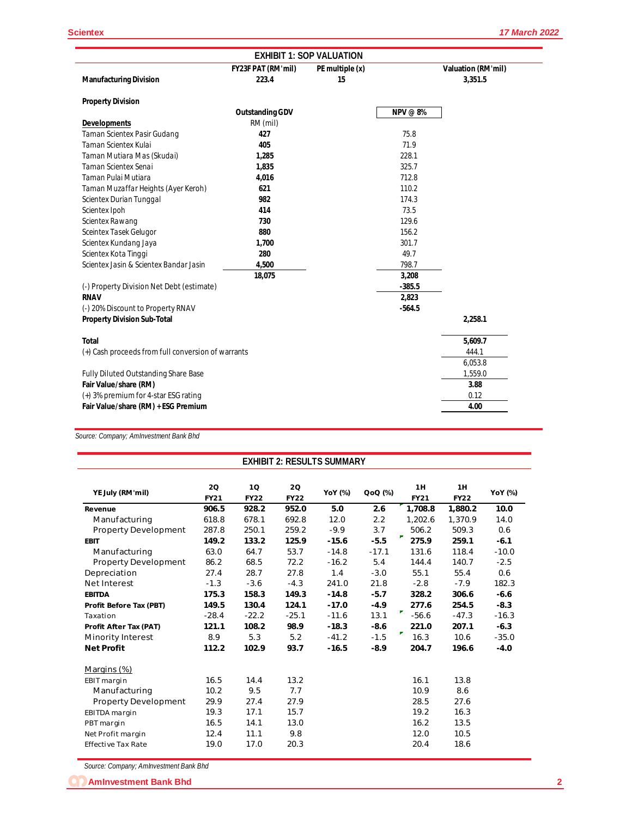|                                                    | <b>EXHIBIT 1: SOP VALUATION</b>    |                       |                 |                                      |  |  |  |  |
|----------------------------------------------------|------------------------------------|-----------------------|-----------------|--------------------------------------|--|--|--|--|
| <b>Manufacturing Division</b>                      | <b>FY23F PAT (RM'mil)</b><br>223.4 | PE multiple (x)<br>15 |                 | <b>Valuation (RM'mil)</b><br>3,351.5 |  |  |  |  |
| <b>Property Division</b>                           |                                    |                       |                 |                                      |  |  |  |  |
|                                                    | <b>Outstanding GDV</b>             |                       | <b>NPV</b> @ 8% |                                      |  |  |  |  |
| <b>Developments</b>                                | RM (mil)                           |                       |                 |                                      |  |  |  |  |
| Taman Scientex Pasir Gudang                        | 427                                |                       | 75.8            |                                      |  |  |  |  |
| Taman Scientex Kulai                               | 405                                |                       | 71.9            |                                      |  |  |  |  |
| Taman Mutiara Mas (Skudai)                         | 1,285                              |                       | 228.1           |                                      |  |  |  |  |
| Taman Scientex Senai                               | 1,835                              |                       | 325.7           |                                      |  |  |  |  |
| Taman Pulai Mutiara                                | 4,016                              |                       | 712.8           |                                      |  |  |  |  |
| Taman Muzaffar Heights (Ayer Keroh)                | 621                                |                       | 110.2           |                                      |  |  |  |  |
| Scientex Durian Tunggal                            | 982                                |                       | 174.3           |                                      |  |  |  |  |
| Scientex Ipoh                                      | 414                                |                       | 73.5            |                                      |  |  |  |  |
| Scientex Rawang                                    | 730                                |                       | 129.6           |                                      |  |  |  |  |
| Sceintex Tasek Gelugor                             | 880                                |                       | 156.2           |                                      |  |  |  |  |
| Scientex Kundang Jaya                              | 1,700                              |                       | 301.7           |                                      |  |  |  |  |
| Scientex Kota Tinggi                               | 280                                |                       | 49.7            |                                      |  |  |  |  |
| Scientex Jasin & Scientex Bandar Jasin             | 4,500                              |                       | 798.7           |                                      |  |  |  |  |
|                                                    | 18,075                             |                       | 3,208           |                                      |  |  |  |  |
| (-) Property Division Net Debt (estimate)          |                                    |                       | $-385.5$        |                                      |  |  |  |  |
| <b>RNAV</b>                                        |                                    |                       | 2,823           |                                      |  |  |  |  |
| (-) 20% Discount to Property RNAV                  |                                    |                       | $-564.5$        |                                      |  |  |  |  |
| <b>Property Division Sub-Total</b>                 |                                    |                       |                 | 2,258.1                              |  |  |  |  |
| <b>Total</b>                                       |                                    |                       |                 | 5,609.7                              |  |  |  |  |
| (+) Cash proceeds from full conversion of warrants |                                    |                       |                 | 444.1                                |  |  |  |  |
|                                                    |                                    |                       |                 | 6,053.8                              |  |  |  |  |
| Fully Diluted Outstanding Share Base               |                                    |                       |                 | 1,559.0                              |  |  |  |  |
| Fair Value/share (RM)                              |                                    |                       |                 | 3.88                                 |  |  |  |  |
| (+) 3% premium for 4-star ESG rating               |                                    |                       |                 | 0.12                                 |  |  |  |  |
| Fair Value/share (RM) + ESG Premium                |                                    |                       |                 | 4.00                                 |  |  |  |  |

*Source: Company; AmInvestment Bank Bhd*

| <b>EXHIBIT 2: RESULTS SUMMARY</b> |                   |                   |                   |         |         |                   |                   |         |
|-----------------------------------|-------------------|-------------------|-------------------|---------|---------|-------------------|-------------------|---------|
| YE July (RM'mil)                  | 2Q<br><b>FY21</b> | 1Q<br><b>FY22</b> | 20<br><b>FY22</b> | YoY (%) | QoQ (%) | 1H<br><b>FY21</b> | 1H<br><b>FY22</b> | YoY (%) |
| Revenue                           | 906.5             | 928.2             | 952.0             | 5.0     | 2.6     | 1,708.8           | 1,880.2           | 10.0    |
| Manufacturing                     | 618.8             | 678.1             | 692.8             | 12.0    | 2.2     | 1,202.6           | 1.370.9           | 14.0    |
| <b>Property Development</b>       | 287.8             | 250.1             | 259.2             | $-9.9$  | 3.7     | 506.2             | 509.3             | 0.6     |
| <b>EBIT</b>                       | 149.2             | 133.2             | 125.9             | $-15.6$ | $-5.5$  | 275.9             | 259.1             | $-6.1$  |
| Manufacturing                     | 63.0              | 64.7              | 53.7              | $-14.8$ | $-17.1$ | 131.6             | 118.4             | $-10.0$ |
| Property Development              | 86.2              | 68.5              | 72.2              | $-16.2$ | 5.4     | 144.4             | 140.7             | $-2.5$  |
| Depreciation                      | 27.4              | 28.7              | 27.8              | 1.4     | $-3.0$  | 55.1              | 55.4              | 0.6     |
| <b>Net Interest</b>               | $-1.3$            | $-3.6$            | $-4.3$            | 241.0   | 21.8    | $-2.8$            | $-7.9$            | 182.3   |
| <b>EBITDA</b>                     | 175.3             | 158.3             | 149.3             | $-14.8$ | $-5.7$  | 328.2             | 306.6             | $-6.6$  |
| Profit Before Tax (PBT)           | 149.5             | 130.4             | 124.1             | $-17.0$ | $-4.9$  | 277.6             | 254.5             | $-8.3$  |
| Taxation                          | $-28.4$           | $-22.2$           | $-25.1$           | $-11.6$ | 13.1    | ₹<br>$-56.6$      | $-47.3$           | $-16.3$ |
| Profit After Tax (PAT)            | 121.1             | 108.2             | 98.9              | $-18.3$ | $-8.6$  | 221.0             | 207.1             | $-6.3$  |
| Minority Interest                 | 8.9               | 5.3               | 5.2               | $-41.2$ | $-1.5$  | ÷<br>16.3         | 10.6              | $-35.0$ |
| <b>Net Profit</b>                 | 112.2             | 102.9             | 93.7              | $-16.5$ | $-8.9$  | 204.7             | 196.6             | $-4.0$  |
| Margins (%)                       |                   |                   |                   |         |         |                   |                   |         |
| EBIT margin                       | 16.5              | 14.4              | 13.2              |         |         | 16.1              | 13.8              |         |
| Manufacturing                     | 10.2              | 9.5               | 7.7               |         |         | 10.9              | 8.6               |         |
| <b>Property Development</b>       | 29.9              | 27.4              | 27.9              |         |         | 28.5              | 27.6              |         |
| EBITDA margin                     | 19.3              | 17.1              | 15.7              |         |         | 19.2              | 16.3              |         |
| PBT margin                        | 16.5              | 14.1              | 13.0              |         |         | 16.2              | 13.5              |         |
| Net Profit margin                 | 12.4              | 11.1              | 9.8               |         |         | 12.0              | 10.5              |         |
| <b>Effective Tax Rate</b>         | 19.0              | 17.0              | 20.3              |         |         | 20.4              | 18.6              |         |

*Source: Company; AmInvestment Bank Bhd*

**AmInvestment Bank Bhd 2**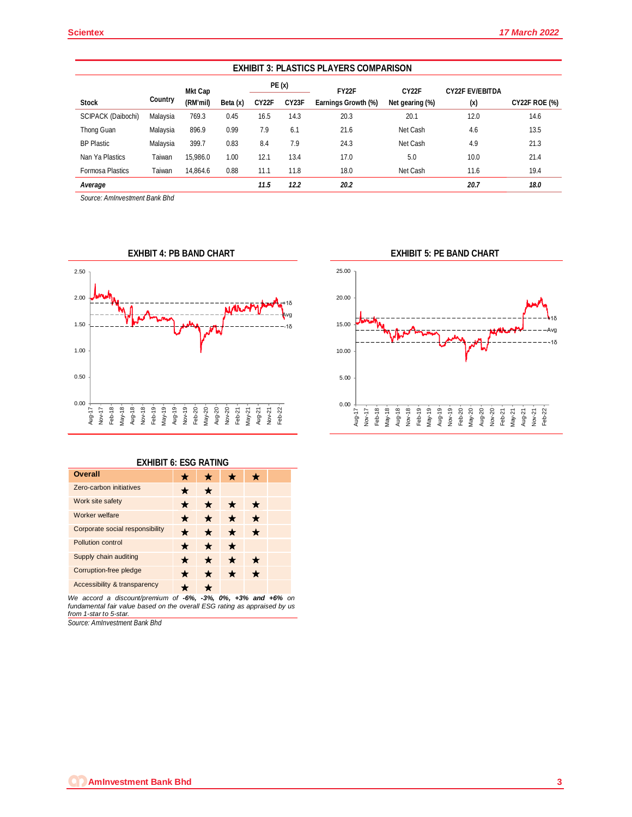| <b>EXHIBIT 3: PLASTICS PLAYERS COMPARISON</b> |          |          |          |                    |                              |              |                    |                               |                      |
|-----------------------------------------------|----------|----------|----------|--------------------|------------------------------|--------------|--------------------|-------------------------------|----------------------|
|                                               |          | Mkt Cap  |          | PE(x)              |                              | <b>FY22F</b> | CY <sub>22</sub> F | <b>CY22F EV/EBITDA</b><br>(x) |                      |
| <b>Stock</b>                                  | Country  | (RM'mil) | Beta (x) | CY <sub>2</sub> 2F | CY23F<br>Earnings Growth (%) |              | Net gearing (%)    |                               | <b>CY22F ROE (%)</b> |
| <b>SCIPACK (Daibochi)</b>                     | Malaysia | 769.3    | 0.45     | 16.5               | 14.3                         | 20.3         | 20.1               | 12.0                          | 14.6                 |
| Thong Guan                                    | Malaysia | 896.9    | 0.99     | 7.9                | 6.1                          | 21.6         | Net Cash           | 4.6                           | 13.5                 |
| <b>BP Plastic</b>                             | Malaysia | 399.7    | 0.83     | 8.4                | 7.9                          | 24.3         | Net Cash           | 4.9                           | 21.3                 |
| Nan Ya Plastics                               | Taiwan   | 15.986.0 | 1.00     | 12.1               | 13.4                         | 17.0         | 5.0                | 10.0                          | 21.4                 |
| <b>Formosa Plastics</b>                       | Taiwan   | 14.864.6 | 0.88     | 11.1               | 11.8                         | 18.0         | Net Cash           | 11.6                          | 19.4                 |
| Average                                       |          |          |          | 11.5               | 12.2                         | 20.2         |                    | 20.7                          | 18.0                 |

*Source: AmInvestment Bank Bhd*



## **EXHIBIT 6: ESG RATING**

| <b>Overall</b>                  |   |         |   |         |  |
|---------------------------------|---|---------|---|---------|--|
| Zero-carbon initiatives         | ★ | $\star$ |   |         |  |
| Work site safety                | ★ | ★       |   | ÷       |  |
| Worker welfare                  | ★ | $\star$ | ★ | $\star$ |  |
| Corporate social responsibility | ★ |         |   | $\star$ |  |
| Pollution control               | ★ | ★       | ★ |         |  |
| Supply chain auditing           | ★ | ★       |   | *       |  |
| Corruption-free pledge          | ★ | ★       | ★ | $\star$ |  |
| Accessibility & transparency    |   |         |   |         |  |
| $\sim$ $\sim$ $\sim$            |   |         |   |         |  |

*We accord a discount/premium of -6%, -3%, 0%, +3% and +6% on fundamental fair value based on the overall ESG rating as appraised by us from 1-star to 5-star.*

*Source: AmInvestment Bank Bhd*

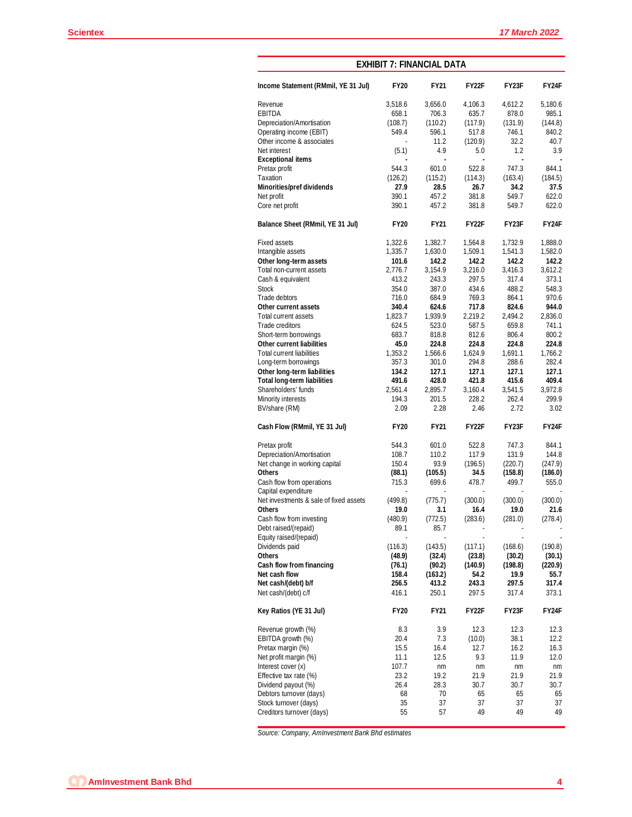| <b>EXHIBIT 7: FINANCIAL DATA</b>           |                |                  |                |                |                |  |  |  |
|--------------------------------------------|----------------|------------------|----------------|----------------|----------------|--|--|--|
| Income Statement (RMmil, YE 31 Jul)        | <b>FY20</b>    | <b>FY21</b>      | <b>FY22F</b>   | FY23F          | FY24F          |  |  |  |
| Revenue                                    | 3,518.6        | 3,656.0          | 4,106.3        | 4,612.2        | 5,180.6        |  |  |  |
| <b>EBITDA</b>                              | 658.1          | 706.3            | 635.7          | 878.0          | 985.1          |  |  |  |
| Depreciation/Amortisation                  | (108.7)        | (110.2)          | (117.9)        | (131.9)        | (144.8)        |  |  |  |
| Operating income (EBIT)                    | 549.4          | 596.1            | 517.8          | 746.1          | 840.2          |  |  |  |
| Other income & associates                  |                | 11.2             | (120.9)        | 32.2           | 40.7           |  |  |  |
| Net interest                               | (5.1)          | 4.9              | 5.0            | 1.2            | 3.9            |  |  |  |
| <b>Exceptional items</b>                   |                |                  |                |                |                |  |  |  |
| Pretax profit                              | 544.3          | 601.0            | 522.8          | 747.3          | 844.1          |  |  |  |
| Taxation                                   | (126.2)        | (115.2)          | (114.3)        | (163.4)        | (184.5)        |  |  |  |
| <b>Minorities/pref dividends</b>           | 27.9           | 28.5             | 26.7           | 34.2           | 37.5           |  |  |  |
| Net profit                                 | 390.1          | 457.2            | 381.8          | 549.7          | 622.0          |  |  |  |
| Core net profit                            | 390.1          | 457.2            | 381.8          | 549.7          | 622.0          |  |  |  |
| Balance Sheet (RMmil, YE 31 Jul)           | <b>FY20</b>    | <b>FY21</b>      | <b>FY22F</b>   | <b>FY23F</b>   | <b>FY24F</b>   |  |  |  |
| <b>Fixed assets</b>                        | 1,322.6        | 1,382.7          | 1,564.8        | 1,732.9        | 1,888.0        |  |  |  |
| Intangible assets                          | 1,335.7        | 1,630.0          | 1,509.1        | 1,541.3        | 1,582.0        |  |  |  |
| Other long-term assets                     | 101.6          | 142.2            | 142.2          | 142.2          | 142.2          |  |  |  |
| Total non-current assets                   | 2,776.7        | 3,154.9          | 3,216.0        | 3,416.3        | 3,612.2        |  |  |  |
| Cash & equivalent                          | 413.2          | 243.3            | 297.5          | 317.4          | 373.1          |  |  |  |
| <b>Stock</b>                               | 354.0          | 387.0            | 434.6          | 488.2          | 548.3          |  |  |  |
| Trade debtors                              | 716.0          | 684.9            | 769.3          | 864.1          | 970.6          |  |  |  |
| Other current assets                       |                |                  |                |                |                |  |  |  |
|                                            | 340.4          | 624.6<br>1,939.9 | 717.8          | 824.6          | 944.0          |  |  |  |
| Total current assets                       | 1,823.7        |                  | 2,219.2        | 2,494.2        | 2,836.0        |  |  |  |
| Trade creditors                            | 624.5          | 523.0            | 587.5          | 659.8          | 741.1          |  |  |  |
| Short-term borrowings                      | 683.7          | 818.8            | 812.6          | 806.4          | 800.2          |  |  |  |
| <b>Other current liabilities</b>           | 45.0           | 224.8            | 224.8          | 224.8          | 224.8          |  |  |  |
| <b>Total current liabilities</b>           | 1,353.2        | 1,566.6          | 1,624.9        | 1,691.1        | 1,766.2        |  |  |  |
| Long-term borrowings                       | 357.3          | 301.0            | 294.8          | 288.6          | 282.4          |  |  |  |
| Other long-term liabilities                | 134.2          | 127.1            | 127.1          | 127.1          | 127.1          |  |  |  |
| <b>Total long-term liabilities</b>         | 491.6          | 428.0            | 421.8          | 415.6          | 409.4          |  |  |  |
| Shareholders' funds                        | 2,561.4        | 2,895.7          | 3,160.4        | 3,541.5        | 3,972.8        |  |  |  |
| Minority interests                         | 194.3          | 201.5            | 228.2          | 262.4          | 299.9          |  |  |  |
| BV/share (RM)                              | 2.09           | 2.28             | 2.46           | 2.72           | 3.02           |  |  |  |
| Cash Flow (RMmil, YE 31 Jul)               | <b>FY20</b>    | <b>FY21</b>      | <b>FY22F</b>   | FY23F          | <b>FY24F</b>   |  |  |  |
| Pretax profit                              | 544.3          | 601.0            | 522.8          | 747.3          | 844.1          |  |  |  |
| Depreciation/Amortisation                  | 108.7          | 110.2            | 117.9          | 131.9          | 144.8          |  |  |  |
| Net change in working capital              | 150.4          | 93.9             | (196.5)        | (220.7)        | (247.9)        |  |  |  |
| <b>Others</b>                              | (88.1)         | (105.5)          | 34.5           | (158.8)        | (186.0)        |  |  |  |
| Cash flow from operations                  | 715.3          | 699.6            | 478.7          | 499.7          | 555.0          |  |  |  |
| Capital expenditure                        |                |                  |                |                |                |  |  |  |
| Net investments & sale of fixed assets     | (499.8)        | (775.7)          | (300.0)        | (300.0)        | (300.0)        |  |  |  |
| <b>Others</b>                              | 19.0           | 3.1              | 16.4           | 19.0           | 21.6           |  |  |  |
| Cash flow from investing                   | (480.9)        | (772.5)          | (283.6)        | (281.0)        | (278.4)        |  |  |  |
| Debt raised/(repaid)                       | 89.1           | 85.7             |                |                |                |  |  |  |
| Equity raised/(repaid)                     |                |                  |                |                |                |  |  |  |
| Dividends paid                             | (116.3)        | (143.5)          | (117.1)        | (168.6)        | (190.8)        |  |  |  |
|                                            |                |                  |                |                |                |  |  |  |
| <b>Others</b>                              | (48.9)         | (32.4)           | (23.8)         | (30.2)         | (30.1)         |  |  |  |
| Cash flow from financing                   | (76.1)         | (90.2)           | (140.9)        | (198.8)        | (220.9)        |  |  |  |
| Net cash flow                              | 158.4          | (163.2)          | 54.2           | 19.9           | 55.7           |  |  |  |
| Net cash/(debt) b/f<br>Net cash/(debt) c/f | 256.5<br>416.1 | 413.2<br>250.1   | 243.3<br>297.5 | 297.5<br>317.4 | 317.4<br>373.1 |  |  |  |
| Key Ratios (YE 31 Jul)                     | <b>FY20</b>    | <b>FY21</b>      | <b>FY22F</b>   | FY23F          | <b>FY24F</b>   |  |  |  |
|                                            |                |                  |                |                |                |  |  |  |
| Revenue growth (%)                         | 8.3            | 3.9              | 12.3           | 12.3           | 12.3           |  |  |  |
| EBITDA growth (%)                          | 20.4           | 7.3              | (10.0)         | 38.1           | 12.2           |  |  |  |
| Pretax margin (%)                          | 15.5           | 16.4             | 12.7           | 16.2           | 16.3           |  |  |  |
| Net profit margin (%)                      | 11.1           | 12.5             | 9.3            | 11.9           | 12.0           |  |  |  |
| Interest cover (x)                         | 107.7          | nm               | nm             | nm             | nm             |  |  |  |
| Effective tax rate (%)                     | 23.2           | 19.2             | 21.9           | 21.9           | 21.9           |  |  |  |
| Dividend payout (%)                        | 26.4           | 28.3             | 30.7           | 30.7           | 30.7           |  |  |  |
| Debtors turnover (days)                    | 68             | 70               | 65             | 65             | 65             |  |  |  |
| Stock turnover (days)                      | 35             | 37               | 37             | 37             | 37             |  |  |  |
| Creditors turnover (days)                  | 55             | 57               | 49             | 49             | 49             |  |  |  |

*Source: Company, AmInvestment Bank Bhd estimates*